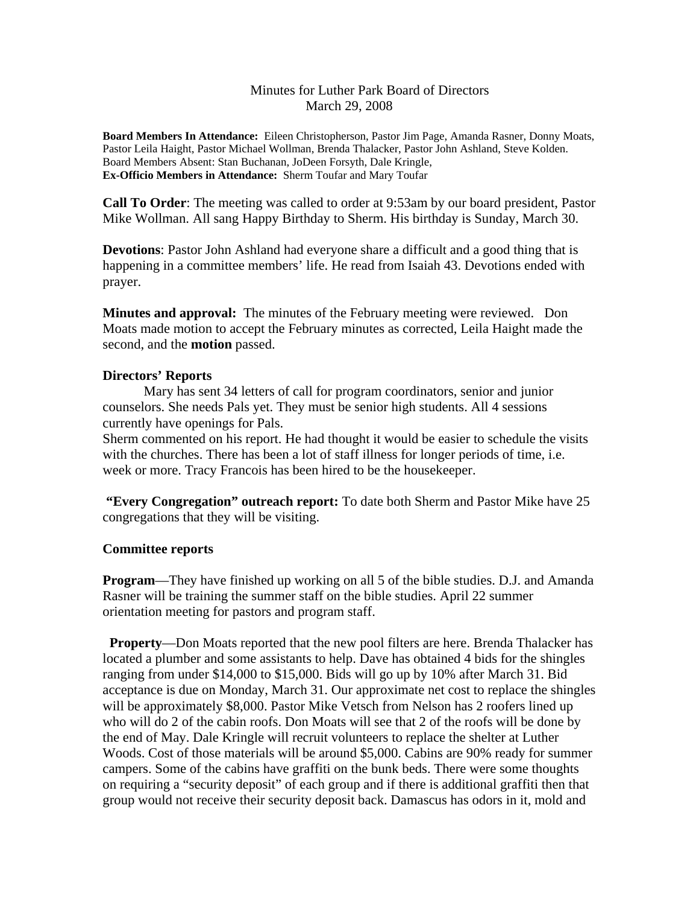### Minutes for Luther Park Board of Directors March 29, 2008

**Board Members In Attendance:** Eileen Christopherson, Pastor Jim Page, Amanda Rasner, Donny Moats, Pastor Leila Haight, Pastor Michael Wollman, Brenda Thalacker, Pastor John Ashland, Steve Kolden. Board Members Absent: Stan Buchanan, JoDeen Forsyth, Dale Kringle, **Ex-Officio Members in Attendance:** Sherm Toufar and Mary Toufar

**Call To Order**: The meeting was called to order at 9:53am by our board president, Pastor Mike Wollman. All sang Happy Birthday to Sherm. His birthday is Sunday, March 30.

**Devotions**: Pastor John Ashland had everyone share a difficult and a good thing that is happening in a committee members' life. He read from Isaiah 43. Devotions ended with prayer.

**Minutes and approval:** The minutes of the February meeting were reviewed. Don Moats made motion to accept the February minutes as corrected, Leila Haight made the second, and the **motion** passed.

### **Directors' Reports**

 Mary has sent 34 letters of call for program coordinators, senior and junior counselors. She needs Pals yet. They must be senior high students. All 4 sessions currently have openings for Pals.

Sherm commented on his report. He had thought it would be easier to schedule the visits with the churches. There has been a lot of staff illness for longer periods of time, i.e. week or more. Tracy Francois has been hired to be the housekeeper.

**"Every Congregation" outreach report:** To date both Sherm and Pastor Mike have 25 congregations that they will be visiting.

#### **Committee reports**

**Program**—They have finished up working on all 5 of the bible studies. D.J. and Amanda Rasner will be training the summer staff on the bible studies. April 22 summer orientation meeting for pastors and program staff.

 **Property**—Don Moats reported that the new pool filters are here. Brenda Thalacker has located a plumber and some assistants to help. Dave has obtained 4 bids for the shingles ranging from under \$14,000 to \$15,000. Bids will go up by 10% after March 31. Bid acceptance is due on Monday, March 31. Our approximate net cost to replace the shingles will be approximately \$8,000. Pastor Mike Vetsch from Nelson has 2 roofers lined up who will do 2 of the cabin roofs. Don Moats will see that 2 of the roofs will be done by the end of May. Dale Kringle will recruit volunteers to replace the shelter at Luther Woods. Cost of those materials will be around \$5,000. Cabins are 90% ready for summer campers. Some of the cabins have graffiti on the bunk beds. There were some thoughts on requiring a "security deposit" of each group and if there is additional graffiti then that group would not receive their security deposit back. Damascus has odors in it, mold and